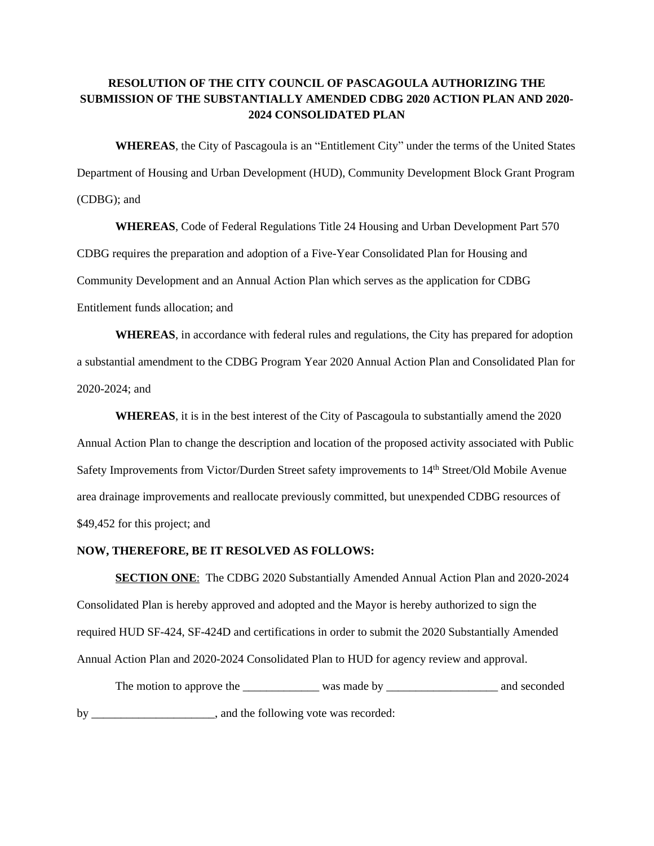## **RESOLUTION OF THE CITY COUNCIL OF PASCAGOULA AUTHORIZING THE SUBMISSION OF THE SUBSTANTIALLY AMENDED CDBG 2020 ACTION PLAN AND 2020- 2024 CONSOLIDATED PLAN**

**WHEREAS**, the City of Pascagoula is an "Entitlement City" under the terms of the United States Department of Housing and Urban Development (HUD), Community Development Block Grant Program (CDBG); and

**WHEREAS**, Code of Federal Regulations Title 24 Housing and Urban Development Part 570 CDBG requires the preparation and adoption of a Five-Year Consolidated Plan for Housing and Community Development and an Annual Action Plan which serves as the application for CDBG Entitlement funds allocation; and

**WHEREAS**, in accordance with federal rules and regulations, the City has prepared for adoption a substantial amendment to the CDBG Program Year 2020 Annual Action Plan and Consolidated Plan for 2020-2024; and

**WHEREAS**, it is in the best interest of the City of Pascagoula to substantially amend the 2020 Annual Action Plan to change the description and location of the proposed activity associated with Public Safety Improvements from Victor/Durden Street safety improvements to 14th Street/Old Mobile Avenue area drainage improvements and reallocate previously committed, but unexpended CDBG resources of \$49,452 for this project; and

## **NOW, THEREFORE, BE IT RESOLVED AS FOLLOWS:**

**SECTION ONE**: The CDBG 2020 Substantially Amended Annual Action Plan and 2020-2024 Consolidated Plan is hereby approved and adopted and the Mayor is hereby authorized to sign the required HUD SF-424, SF-424D and certifications in order to submit the 2020 Substantially Amended Annual Action Plan and 2020-2024 Consolidated Plan to HUD for agency review and approval.

The motion to approve the \_\_\_\_\_\_\_\_\_\_\_\_\_ was made by \_\_\_\_\_\_\_\_\_\_\_\_\_\_\_\_\_\_\_ and seconded by \_\_\_\_\_\_\_\_\_\_\_\_\_\_\_\_\_\_\_\_, and the following vote was recorded: